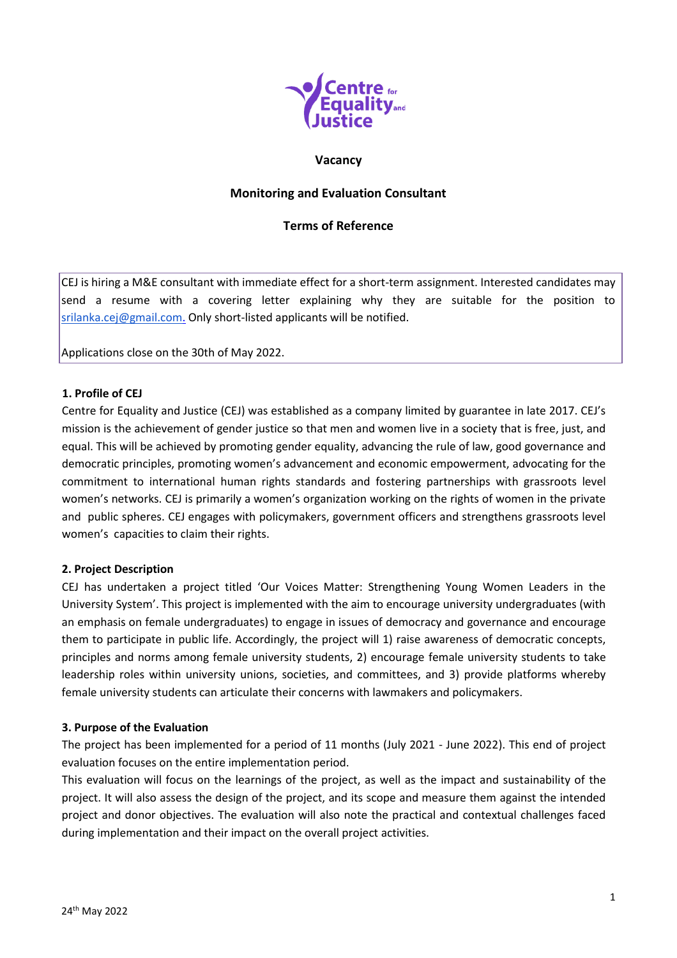

### **Vacancy**

# **Monitoring and Evaluation Consultant**

## **Terms of Reference**

CEJ is hiring a M&E consultant with immediate effect for a short-term assignment. Interested candidates may send a resume with a covering letter explaining why they are suitable for the position to [srilanka.cej@gmail.com.](mailto:srilanka.cej@gmail.com) Only short-listed applicants will be notified.

Applications close on the 30th of May 2022.

#### **1. Profile of CEJ**

Centre for Equality and Justice (CEJ) was established as a company limited by guarantee in late 2017. CEJ's mission is the achievement of gender justice so that men and women live in a society that is free, just, and equal. This will be achieved by promoting gender equality, advancing the rule of law, good governance and democratic principles, promoting women's advancement and economic empowerment, advocating for the commitment to international human rights standards and fostering partnerships with grassroots level women's networks. CEJ is primarily a women's organization working on the rights of women in the private and public spheres. CEJ engages with policymakers, government officers and strengthens grassroots level women's capacities to claim their rights.

### **2. Project Description**

CEJ has undertaken a project titled 'Our Voices Matter: Strengthening Young Women Leaders in the University System'. This project is implemented with the aim to encourage university undergraduates (with an emphasis on female undergraduates) to engage in issues of democracy and governance and encourage them to participate in public life. Accordingly, the project will 1) raise awareness of democratic concepts, principles and norms among female university students, 2) encourage female university students to take leadership roles within university unions, societies, and committees, and 3) provide platforms whereby female university students can articulate their concerns with lawmakers and policymakers.

#### **3. Purpose of the Evaluation**

The project has been implemented for a period of 11 months (July 2021 - June 2022). This end of project evaluation focuses on the entire implementation period.

This evaluation will focus on the learnings of the project, as well as the impact and sustainability of the project. It will also assess the design of the project, and its scope and measure them against the intended project and donor objectives. The evaluation will also note the practical and contextual challenges faced during implementation and their impact on the overall project activities.